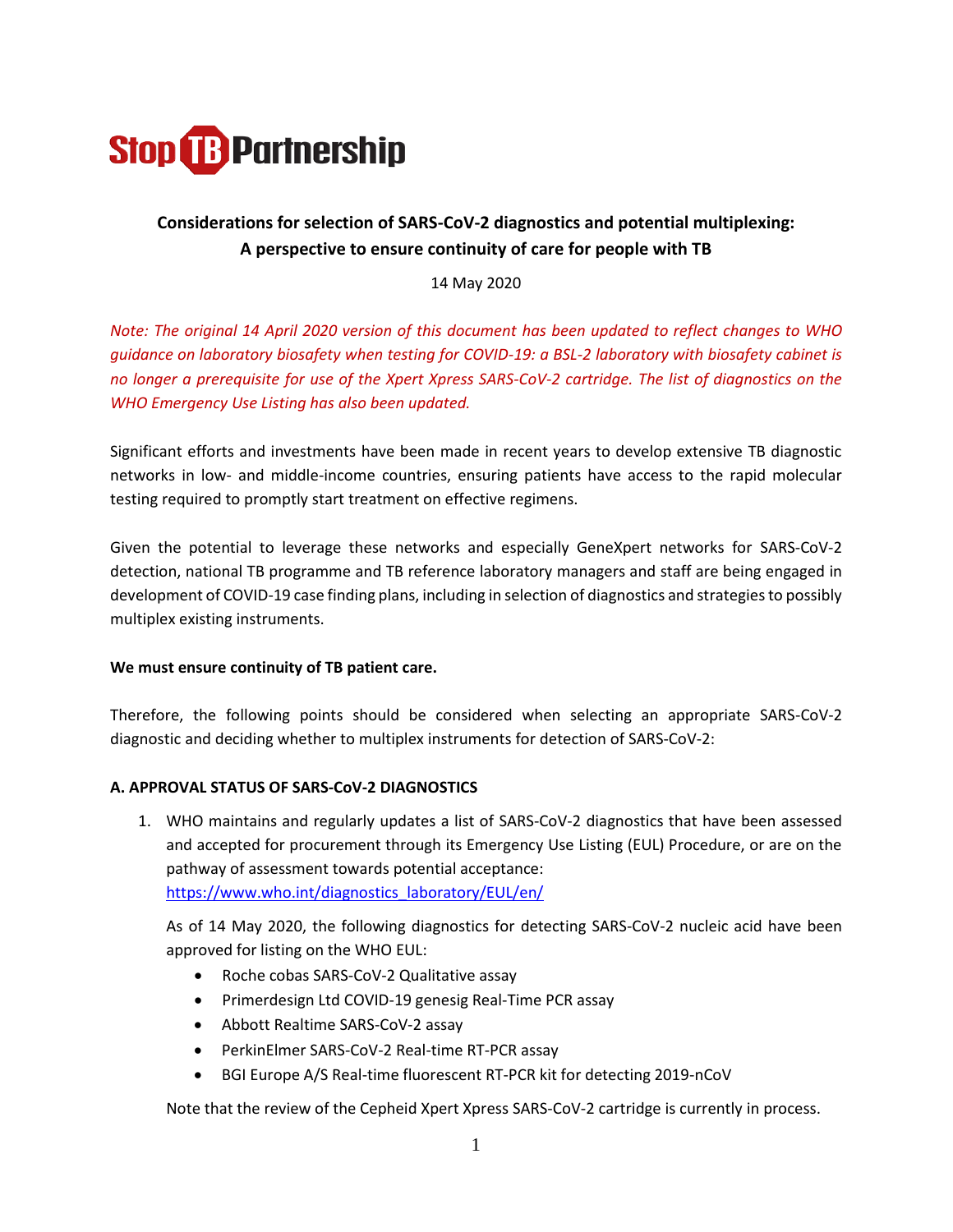

# **Considerations for selection of SARS-CoV-2 diagnostics and potential multiplexing: A perspective to ensure continuity of care for people with TB**

14 May 2020

*Note: The original 14 April 2020 version of this document has been updated to reflect changes to WHO guidance on laboratory biosafety when testing for COVID-19: a BSL-2 laboratory with biosafety cabinet is no longer a prerequisite for use of the Xpert Xpress SARS-CoV-2 cartridge. The list of diagnostics on the WHO Emergency Use Listing has also been updated.* 

Significant efforts and investments have been made in recent years to develop extensive TB diagnostic networks in low- and middle-income countries, ensuring patients have access to the rapid molecular testing required to promptly start treatment on effective regimens.

Given the potential to leverage these networks and especially GeneXpert networks for SARS-CoV-2 detection, national TB programme and TB reference laboratory managers and staff are being engaged in development of COVID-19 case finding plans, including in selection of diagnostics and strategies to possibly multiplex existing instruments.

## **We must ensure continuity of TB patient care.**

Therefore, the following points should be considered when selecting an appropriate SARS-CoV-2 diagnostic and deciding whether to multiplex instruments for detection of SARS-CoV-2:

#### **A. APPROVAL STATUS OF SARS-CoV-2 DIAGNOSTICS**

1. WHO maintains and regularly updates a list of SARS-CoV-2 diagnostics that have been assessed and accepted for procurement through its Emergency Use Listing (EUL) Procedure, or are on the pathway of assessment towards potential acceptance: [https://www.who.int/diagnostics\\_laboratory/EUL/en/](https://www.who.int/diagnostics_laboratory/EUL/en/)

As of 14 May 2020, the following diagnostics for detecting SARS-CoV-2 nucleic acid have been approved for listing on the WHO EUL:

- Roche cobas SARS-CoV-2 Qualitative assay
- Primerdesign Ltd COVID-19 genesig Real-Time PCR assay
- Abbott Realtime SARS-CoV-2 assay
- PerkinElmer SARS-CoV-2 Real-time RT-PCR assay
- BGI Europe A/S Real-time fluorescent RT-PCR kit for detecting 2019-nCoV

Note that the review of the Cepheid Xpert Xpress SARS-CoV-2 cartridge is currently in process.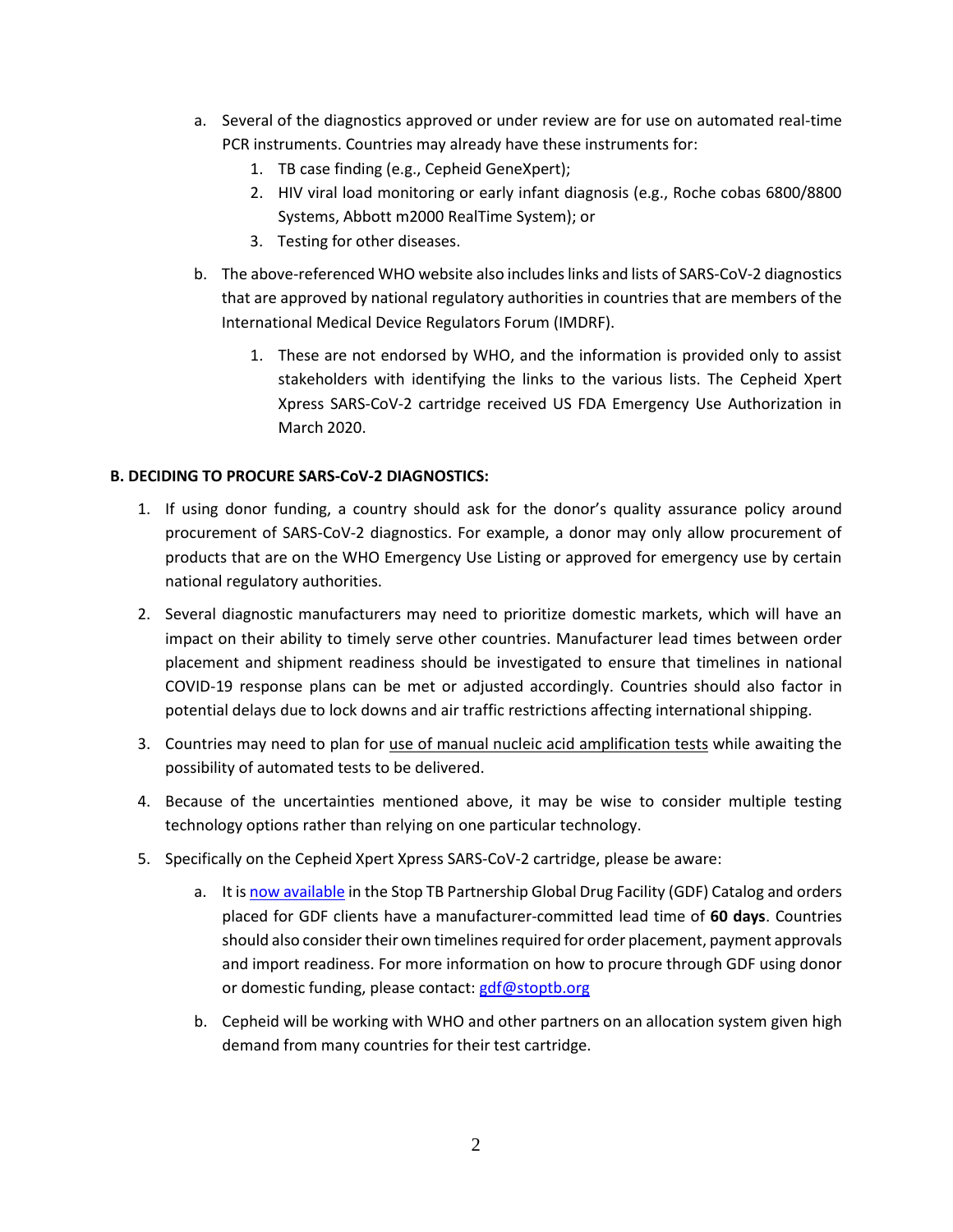- a. Several of the diagnostics approved or under review are for use on automated real-time PCR instruments. Countries may already have these instruments for:
	- 1. TB case finding (e.g., Cepheid GeneXpert);
	- 2. HIV viral load monitoring or early infant diagnosis (e.g., Roche cobas 6800/8800 Systems, Abbott m2000 RealTime System); or
	- 3. Testing for other diseases.
- b. The above-referenced WHO website also includes links and lists of SARS-CoV-2 diagnostics that are approved by national regulatory authorities in countries that are members of the International Medical Device Regulators Forum (IMDRF).
	- 1. These are not endorsed by WHO, and the information is provided only to assist stakeholders with identifying the links to the various lists. The Cepheid Xpert Xpress SARS-CoV-2 cartridge received US FDA Emergency Use Authorization in March 2020.

# **B. DECIDING TO PROCURE SARS-CoV-2 DIAGNOSTICS:**

- 1. If using donor funding, a country should ask for the donor's quality assurance policy around procurement of SARS-CoV-2 diagnostics. For example, a donor may only allow procurement of products that are on the WHO Emergency Use Listing or approved for emergency use by certain national regulatory authorities.
- 2. Several diagnostic manufacturers may need to prioritize domestic markets, which will have an impact on their ability to timely serve other countries. Manufacturer lead times between order placement and shipment readiness should be investigated to ensure that timelines in national COVID-19 response plans can be met or adjusted accordingly. Countries should also factor in potential delays due to lock downs and air traffic restrictions affecting international shipping.
- 3. Countries may need to plan for use of manual nucleic acid amplification tests while awaiting the possibility of automated tests to be delivered.
- 4. Because of the uncertainties mentioned above, it may be wise to consider multiple testing technology options rather than relying on one particular technology.
- 5. Specifically on the Cepheid Xpert Xpress SARS-CoV-2 cartridge, please be aware:
	- a. It is [now available](http://stoptb.org/news/stories/2020/ns20_012.html) in the Stop TB Partnership Global Drug Facility (GDF) Catalog and orders placed for GDF clients have a manufacturer-committed lead time of **60 days**. Countries should also consider their own timelines required for order placement, payment approvals and import readiness. For more information on how to procure through GDF using donor or domestic funding, please contact: [gdf@stoptb.org](mailto:gdf@stoptb.org)
	- b. Cepheid will be working with WHO and other partners on an allocation system given high demand from many countries for their test cartridge.